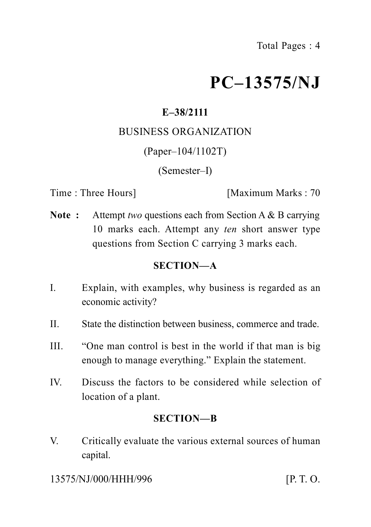# **PC–13575/NJ**

## **E–38/2111**

### BUSINESS ORGANIZATION

(Paper–104/1102T)

(Semester–I)

Time : Three Hours] [Maximum Marks : 70

**Note :** Attempt *two* questions each from Section A & B carrying 10 marks each. Attempt any *ten* short answer type questions from Section C carrying 3 marks each.

## **SECTION—A**

- I. Explain, with examples, why business is regarded as an economic activity?
- II. State the distinction between business, commerce and trade.
- III. "One man control is best in the world if that man is big enough to manage everything." Explain the statement.
- IV. Discuss the factors to be considered while selection of location of a plant.

#### **SECTION—B**

V. Critically evaluate the various external sources of human capital.

13575/NJ/000/HHH/996 [P. T. O.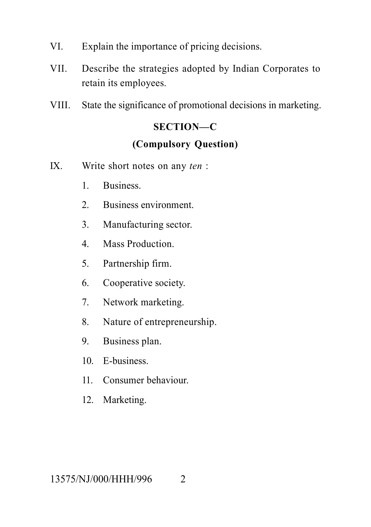- VI. Explain the importance of pricing decisions.
- VII. Describe the strategies adopted by Indian Corporates to retain its employees.
- VIII. State the significance of promotional decisions in marketing.

## **SECTION—C (Compulsory Question)**

- IX. Write short notes on any *ten* :
	- 1. Business.
	- 2. Business environment.
	- 3. Manufacturing sector.
	- 4. Mass Production.
	- 5. Partnership firm.
	- 6. Cooperative society.
	- 7. Network marketing.
	- 8. Nature of entrepreneurship.
	- 9. Business plan.
	- 10. E-business.
	- 11. Consumer behaviour.
	- 12. Marketing.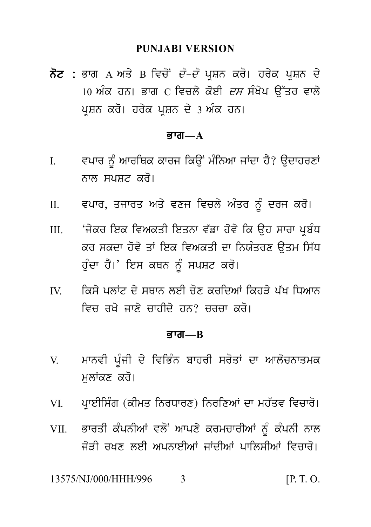#### **PUNJABI VERSION**

PUNJABI VERSION<br>ਨੋਟ : ਭਾਗ A ਅਤੇ B ਵਿਚੋਂ *ਦੋ–ਦੋ* ਪ੍ਰਸ਼ਨ ਕਰੋ। ਹਰੇਕ ਪ੍ਰਸ਼ਨ ਦੇ<br>10 ਅੰਕ ਹਨ। ਭਾਗ C ਵਿਚਲੇ ਕੋਈ *ਦਸ* ਸੰਖੇਪ ਉੱਤਰ ਵਾਲੇ<br>ਪੁਸ਼ਨ ਕਰੋ। ਹਰੇਕ ਪੁਸ਼ਨ ਦੇ 3 ਅੰਕ ਹਨ। PUNJABI VERSION<br>ਭਾਗ A ਅਤੇ B ਵਿਚੋਂ *ਦੋ–ਦੋ* ਪ੍ਰਸ਼ਨ ਕਰੋ। ਹਰੇਕ ਪ੍ਰਸ਼ਨ ਦੇ<br>10 ਅੰਕ ਹਨ। ਭਾਗ C ਵਿਚਲੇ ਕੋਈ *ਦਸ* ਸੰਖੇਪ ਉੱਤਰ ਵਾਲੇ<br>ਪ੍ਰਸ਼ਨ ਕਰੋ। ਹਰੇਕ ਪ੍ਰਸ਼ਨ ਦੇ 3 ਅੰਕ ਹਨ। **ਨੋਟ :** ਭਾਗ A ਅਤੇ B ਵਿਚੋਂ *ਦੋ–ਦੋ* ਪ੍ਰਸ਼ਨ ਕਰੋ। ਹਰੇਕ ਪ੍ਰਸ਼ਨ ਦੇ<br>10 ਅੰਕ ਹਨ। ਭਾਗ C ਵਿਚਲੇ ਕੋਈ *ਦਸ* ਸੰਖੇਪ ਉੱਤਰ ਵਾਲੇ<br>ਪ੍ਰਸ਼ਨ ਕਰੋ। ਹਰੇਕ ਪ੍ਰਸ਼ਨ ਦੇ 3 ਅੰਕ ਹਨ।

#### Bwg**—A**

- ਪ੍ਰਸ਼ਨ ਕਰੋ। ਹਰੇਕ ਪ੍ਰਸ਼ਨ ਦੇ 3 ਅੰਕ ਹਨ।<br>ਭਾਗ—A<br>I. ਵਪਾਰ ਨੂੰ ਆਰਥਿਕ ਕਾਰਜ ਕਿਉਂ ਮੰਨਿਆ ਜਾਂਦਾ ਹੈ? ਉਦਾਹਰਣਾਂ<br>ਨਾਲ ਸਪਸ਼ਟ ਕਰੋ। ਵਪਾਰ ਨੂੰ ਆਰਥਿਕ ਕਾਰਜ ਕਿਉਂ ਮੰਨਿਆ ਜਾਂਦਾ ਹੈ? ਉਦਾਹਰਣਾਂ<br>ਨਾਲ ਸਪਸ਼ਟ ਕਰੋ।<br>ਵਪਾਰ, ਤਜਾਰਤ ਅਤੇ ਵਣਜ ਵਿਚਲੇ ਅੰਤਰ ਨੂੰ ਦਰਜ ਕਰੋ। I. ਵਪਾਰ ਨੂੰ ਆਰਥਿਕ ਕਾਰਜ ਕਿਉਂ ਮੰਨਿਆ ਜਾਂਦਾ ਹੈ? ਉਦਾਹਰਣਾਂ<br>ਨਾਲ ਸਪਸ਼ਟ ਕਰੋ।<br>II. ਵਪਾਰ, ਤਜਾਰਤ ਅਤੇ ਵਣਜ ਵਿਚਲੇ ਅੰਤਰ ਨੂੰ ਦਰਜ ਕਰੋ।<br>III. ਜੇਕਰ ਇਕ ਵਿਅਕਤੀ ਇਤਨਾ ਵੱਡਾ ਹੋਵੇ ਕਿ ਉਹ ਸਾਰਾ ਪ੍ਰਬੰਧ
- 
- ਨਾਲ ਸਪਸ਼ਟ ਕਰੋ।<br>II. ਵਪਾਰ, ਤਜਾਰਤ ਅਤੇ ਵਣਜ ਵਿਚਲੇ ਅੰਤਰ ਨੂੰ ਦਰਜ ਕਰੋ।<br>III. 'ਜੇਕਰ ਇਕ ਵਿਅਕਤੀ ਇਤਨਾ ਵੱਡਾ ਹੋਵੇ ਕਿ ਉਹ ਸਾਰਾ ਪ੍ਰਬੰਧ<br>ਕਰ ਸਕਦਾ ਹੋਵੇ ਤਾਂ ਇਕ ਵਿਅਕਤੀ ਦਾ ਨਿਯੰਤਰਣ ਉਤਮ ਸਿੱਧ<br>ਹੰਦਾ ਹੈ।' ਇਸ ਕਥਨ ਨੰ ਸਪਸਟ ਕਰੋ। ਵਪਾਰ, ਤਜਾਰਤ ਅਤੇ ਵਣਜ ਵਿਚਲੇ ਅੰਤਰ ਨੂੰ ਦਰਜ ਕਰੋ।<br>'ਜੇਕਰ ਇਕ ਵਿਅਕਤੀ ਇਤਨਾ ਵੱਡਾ ਹੋਵੇ ਕਿ ਉਹ ਸਾਰਾ ਪ੍ਰਬੰਧ<br>ਕਰ ਸਕਦਾ ਹੋਵੇ ਤਾਂ ਇਕ ਵਿਅਕਤੀ ਦਾ ਨਿਯੰਤਰਣ ਉਤਮ ਸਿੱਧ<br>ਹੁੰਦਾ ਹੈ।' ਇਸ ਕਥਨ ਨੂੰ ਸਪਸ਼ਟ ਕਰੋ। 'ਜੇਕਰ ਇਕ ਵਿਅਕਤੀ ਇਤਨਾ ਵੱਡਾ ਹੋਵੇ ਕਿ ਉਹ ਸਾਰਾ ਪ੍ਰਬੰਧ<br>ਕਰ ਸਕਦਾ ਹੋਵੇ ਤਾਂ ਇਕ ਵਿਅਕਤੀ ਦਾ ਨਿਯੰਤਰਣ ਉਤਮ ਸਿੱਧ<br>ਹੁੰਦਾ ਹੈ।' ਇਸ ਕਥਨ ਨੂੰ ਸਪਸ਼ਟ ਕਰੋ।<br>ਕਿਸੇ ਪਲਾਂਟ ਦੇ ਸਥਾਨ ਲਈ ਚੋਣ ਕਰਦਿਆਂ ਕਿਹੜੇ ਪੱਖ ਧਿਆਨ<br>ਵਿਜ ਰਖੇ ਜਾਣੇ ਚਾਹੀਦੇ ਹਨ? ਚਰਚਾ ਕਰੋ। ਕਰ ਸਕਦਾ ਹੋਵੇ ਤਾਂ ਇਕ ਵਿਅਕਤੀ ਦਾ ਨਿਯੰਤਰਣ ਉਤਮ ਸਿੱਧ<br>ਹੁੰਦਾ ਹੈ।' ਇਸ ਕਥਨ ਨੂੰ ਸਪਸ਼ਟ ਕਰੋ।<br>IV. ਕਿਸੇ ਪਲਾਂਟ ਦੇ ਸਥਾਨ ਲਈ ਚੋਣ ਕਰਦਿਆਂ ਕਿਹੜੇ ਪੱਖ ਧਿਆਨ<br>ਵਿਚ ਰਖੇ ਜਾਣੇ ਚਾਹੀਦੇ ਹਨ? ਚਰਚਾ ਕਰੋ।
- ਹੁੰਦਾ ਹੈ।' ਇਸ ਕਥਨ ਨੂੰ ਸਪਸ਼ਟ ਕਰੋ।<br>ਕਿਸੇ ਪਲਾਂਟ ਦੇ ਸਥਾਨ ਲਈ ਚੋਣ ਕਰਦਿਆਂ ਕਿਹੜੇ ਪੱਖ ਧਿਆਨ<br>ਵਿਚ ਰਖੇ ਜਾਣੇ ਚਾਹੀਦੇ ਹਨ? ਚਰਚਾ ਕਰੋ।<br>ਭਾਗ—B

#### Bwg**—B**

- ਵਿਚ ਰਖੇ ਜਾਣੇ ਚਾਹੀਦੇ ਹਨ? ਚਰਚਾ ਕਰੋ।<br>ਭਾਗ—B<br>V. ਮਾਨਵੀ ਪੂੰਜੀ ਦੇ ਵਿਭਿੰਨ ਬਾਹਰੀ ਸਰੋਤਾਂ ਦਾ ਆਲੋਚਨਾਤਮਕ<br>ਮੁਲਾਂਕਣ ਕਰੋ। ਮਾਨਵੀ ਪੂੰਜੀ ਦੇ ਵਿਭਿੰਨ ਬਾਹਰੀ ਸਰੋਤਾਂ ਦਾ ਆਲੋਚਨਾਤਮਕ<br>ਮੁਲਾਂਕਣ ਕਰੋ।<br>ਪਾਈਸਿੰਗ (ਕੀਮਤ ਨਿਰਧਾਰਣ) ਨਿਰਣਿਆਂ ਦਾ ਮਹੱਤਵ ਵਿਚਾਰੋ। V. ਮਾਨਵੀ ਪੂੰਜੀ ਦੇ ਵਿਭਿੰਨ ਬਾਹਰੀ ਸਰੋਤਾਂ ਦਾ ਆਲੋਚਨਾਤਮਕ<br>ਮੁਲਾਂਕਣ ਕਰੋ।<br>VI. ਪ੍ਰਾਈਸਿੰਗ (ਕੀਮਤ ਨਿਰਧਾਰਣ) ਨਿਰਣਿਆਂ ਦਾ ਮਹੱਤਵ ਵਿਚਾਰੋ।<br>VII. ਭਾਰਤੀ ਕੰਪਨੀਆਂ ਵਲੋਂ ਆਪਣੇ ਕਰਮਚਾਰੀਆਂ ਨੂੰ ਕੰਪਨੀ ਨਾਲ
- 
- ਮੁਲਾਂਕਣ ਕਰੋ।<br>VI. ਪ੍ਰਾਈਸਿੰਗ (ਕੀਮਤ ਨਿਰਧਾਰਣ) ਨਿਰਣਿਆਂ ਦਾ ਮਹੱਤਵ ਵਿਚਾਰੋ।<br>VII. ਭਾਰਤੀ ਕੰਪਨੀਆਂ ਵਲੋਂ ਆਪਣੇ ਕਰਮਚਾਰੀਆਂ ਨੂੰ ਕੰਪਨੀ ਨਾਲ<br>ਜੋੜੀ ਰਖਣ ਲਈ ਅਪਨਾਈਆਂ ਜਾਂਦੀਆਂ ਪਾਲਿਸੀਆਂ ਵਿਚਾਰੋ। j oVI rKx leI ApnweIAW jWdIAW pwilsIAW ivcwr o[